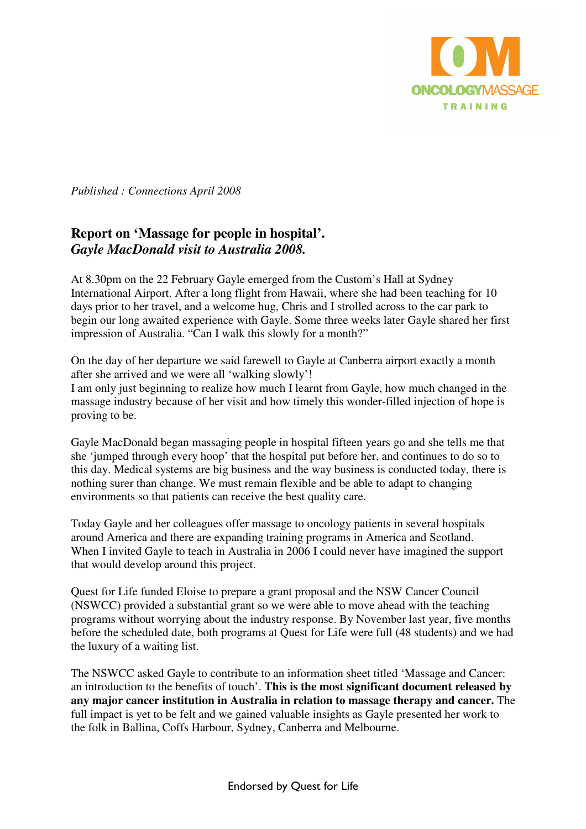

*Published : Connections April 2008* 

## **Report on 'Massage for people in hospital'.**  *Gayle MacDonald visit to Australia 2008.*

At 8.30pm on the 22 February Gayle emerged from the Custom's Hall at Sydney International Airport. After a long flight from Hawaii, where she had been teaching for 10 days prior to her travel, and a welcome hug, Chris and I strolled across to the car park to begin our long awaited experience with Gayle. Some three weeks later Gayle shared her first impression of Australia. "Can I walk this slowly for a month?"

On the day of her departure we said farewell to Gayle at Canberra airport exactly a month after she arrived and we were all 'walking slowly'! I am only just beginning to realize how much I learnt from Gayle, how much changed in the massage industry because of her visit and how timely this wonder-filled injection of hope is proving to be.

Gayle MacDonald began massaging people in hospital fifteen years go and she tells me that she 'jumped through every hoop' that the hospital put before her, and continues to do so to this day. Medical systems are big business and the way business is conducted today, there is nothing surer than change. We must remain flexible and be able to adapt to changing environments so that patients can receive the best quality care.

Today Gayle and her colleagues offer massage to oncology patients in several hospitals around America and there are expanding training programs in America and Scotland. When I invited Gayle to teach in Australia in 2006 I could never have imagined the support that would develop around this project.

Quest for Life funded Eloise to prepare a grant proposal and the NSW Cancer Council (NSWCC) provided a substantial grant so we were able to move ahead with the teaching programs without worrying about the industry response. By November last year, five months before the scheduled date, both programs at Quest for Life were full (48 students) and we had the luxury of a waiting list.

The NSWCC asked Gayle to contribute to an information sheet titled 'Massage and Cancer: an introduction to the benefits of touch'. **This is the most significant document released by any major cancer institution in Australia in relation to massage therapy and cancer.** The full impact is yet to be felt and we gained valuable insights as Gayle presented her work to the folk in Ballina, Coffs Harbour, Sydney, Canberra and Melbourne.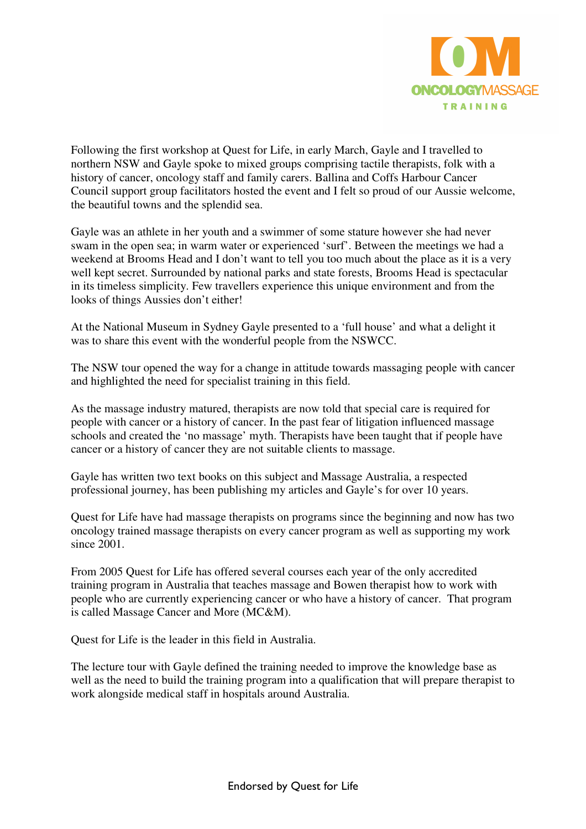

Following the first workshop at Quest for Life, in early March, Gayle and I travelled to northern NSW and Gayle spoke to mixed groups comprising tactile therapists, folk with a history of cancer, oncology staff and family carers. Ballina and Coffs Harbour Cancer Council support group facilitators hosted the event and I felt so proud of our Aussie welcome, the beautiful towns and the splendid sea.

Gayle was an athlete in her youth and a swimmer of some stature however she had never swam in the open sea; in warm water or experienced 'surf'. Between the meetings we had a weekend at Brooms Head and I don't want to tell you too much about the place as it is a very well kept secret. Surrounded by national parks and state forests, Brooms Head is spectacular in its timeless simplicity. Few travellers experience this unique environment and from the looks of things Aussies don't either!

At the National Museum in Sydney Gayle presented to a 'full house' and what a delight it was to share this event with the wonderful people from the NSWCC.

The NSW tour opened the way for a change in attitude towards massaging people with cancer and highlighted the need for specialist training in this field.

As the massage industry matured, therapists are now told that special care is required for people with cancer or a history of cancer. In the past fear of litigation influenced massage schools and created the 'no massage' myth. Therapists have been taught that if people have cancer or a history of cancer they are not suitable clients to massage.

Gayle has written two text books on this subject and Massage Australia, a respected professional journey, has been publishing my articles and Gayle's for over 10 years.

Quest for Life have had massage therapists on programs since the beginning and now has two oncology trained massage therapists on every cancer program as well as supporting my work since 2001.

From 2005 Quest for Life has offered several courses each year of the only accredited training program in Australia that teaches massage and Bowen therapist how to work with people who are currently experiencing cancer or who have a history of cancer. That program is called Massage Cancer and More (MC&M).

Quest for Life is the leader in this field in Australia.

The lecture tour with Gayle defined the training needed to improve the knowledge base as well as the need to build the training program into a qualification that will prepare therapist to work alongside medical staff in hospitals around Australia.